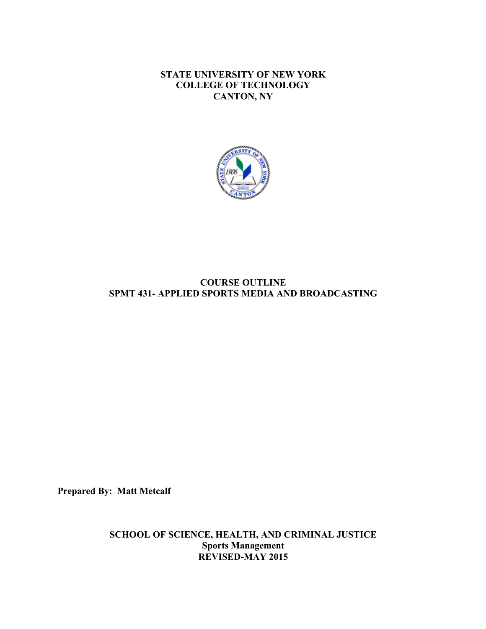**STATE UNIVERSITY OF NEW YORK COLLEGE OF TECHNOLOGY CANTON, NY**



# **SPMT 431- APPLIED SPORTS MEDIA AND BROADCASTING COURSE OUTLINE**

**Prepared By: Matt Metcalf** 

**SCHOOL OF SCIENCE, HEALTH, AND CRIMINAL JUSTICE Sports Management REVISED-MAY 2015**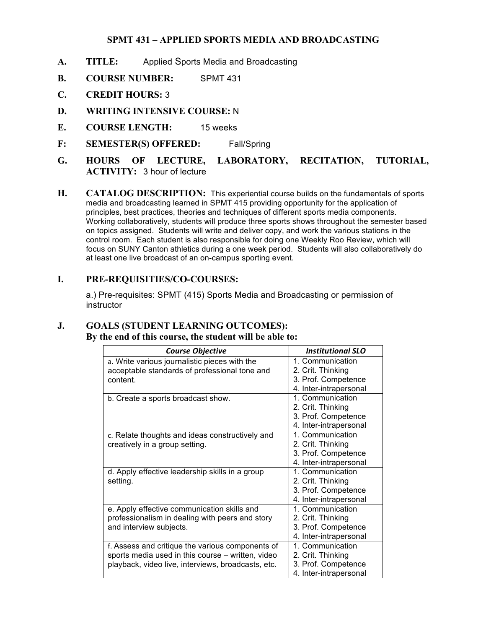## **SPMT 431 – APPLIED SPORTS MEDIA AND BROADCASTING**

- **A. TITLE:** Applied Sports Media and Broadcasting
- **B. COURSE NUMBER:** SPMT 431
- **C. CREDIT HOURS:** 3
- **D. WRITING INTENSIVE COURSE:** N
- **E. COURSE LENGTH:** 15 weeks
- **F: SEMESTER(S) OFFERED:** Fall/Spring
- **HOURS** OF LECTURE, **ACTIVITY:** 3 hour of lecture **G. HOURS OF LECTURE, LABORATORY, RECITATION, TUTORIAL,**
- **H. CATALOG DESCRIPTION:** This experiential course builds on the fundamentals of sports media and broadcasting learned in SPMT 415 providing opportunity for the application of principles, best practices, theories and techniques of different sports media components. Working collaboratively, students will produce three sports shows throughout the semester based on topics assigned. Students will write and deliver copy, and work the various stations in the control room. Each student is also responsible for doing one Weekly Roo Review, which will at least one live broadcast of an on-campus sporting event. focus on SUNY Canton athletics during a one week period. Students will also collaboratively do

#### **I. PRE-REQUISITIES/CO-COURSES:**

 a.) Pre-requisites: SPMT (415) Sports Media and Broadcasting or permission of instructor

# **J. GOALS (STUDENT LEARNING OUTCOMES):**

**By the end of this course, the student will be able to:** 

| <b>Course Objective</b>                            | <b>Institutional SLO</b> |
|----------------------------------------------------|--------------------------|
| a. Write various journalistic pieces with the      | 1. Communication         |
| acceptable standards of professional tone and      | 2. Crit. Thinking        |
| content.                                           | 3. Prof. Competence      |
|                                                    | 4. Inter-intrapersonal   |
| b. Create a sports broadcast show.                 | 1. Communication         |
|                                                    | 2. Crit. Thinking        |
|                                                    | 3. Prof. Competence      |
|                                                    | 4. Inter-intrapersonal   |
| c. Relate thoughts and ideas constructively and    | 1. Communication         |
| creatively in a group setting.                     | 2. Crit. Thinking        |
|                                                    | 3. Prof. Competence      |
|                                                    | 4. Inter-intrapersonal   |
| d. Apply effective leadership skills in a group    | 1. Communication         |
| setting.                                           | 2. Crit. Thinking        |
|                                                    | 3. Prof. Competence      |
|                                                    | 4. Inter-intrapersonal   |
| e. Apply effective communication skills and        | 1. Communication         |
| professionalism in dealing with peers and story    | 2. Crit. Thinking        |
| and interview subjects.                            | 3. Prof. Competence      |
|                                                    | 4. Inter-intrapersonal   |
| f. Assess and critique the various components of   | 1. Communication         |
| sports media used in this course - written, video  | 2. Crit. Thinking        |
| playback, video live, interviews, broadcasts, etc. | 3. Prof. Competence      |
|                                                    | 4. Inter-intrapersonal   |